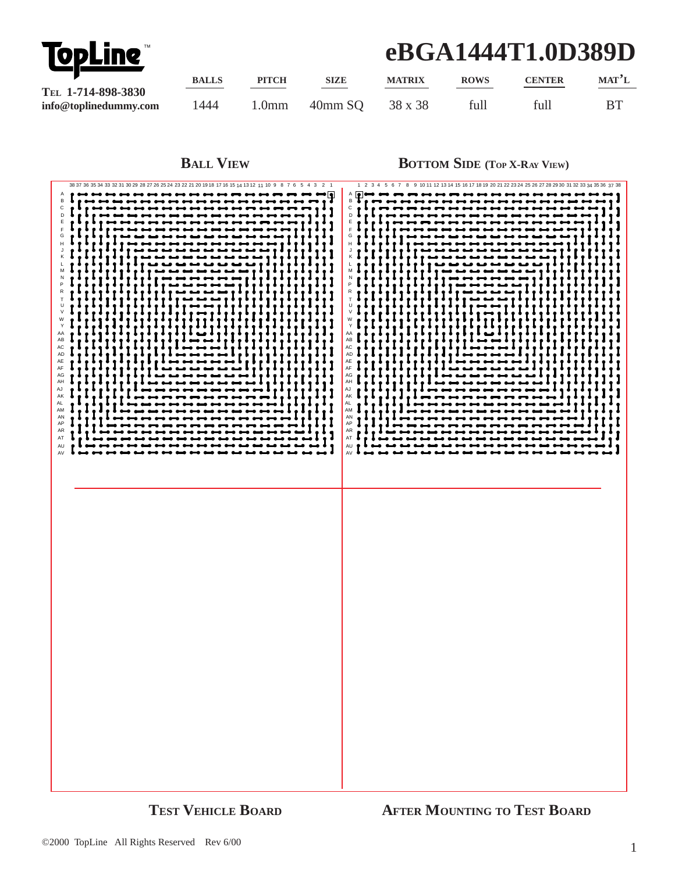

## **eBGA1444T1.0D389D**

|                          | <b>BALLS</b> | <b>PITCH</b> | <b>SIZE</b> | <b>MATRIX</b> | <b>ROWS</b> | <b>CENTER</b> | $MAT^2L$ |
|--------------------------|--------------|--------------|-------------|---------------|-------------|---------------|----------|
| TEL 1-714-898-3830       |              |              |             |               |             |               |          |
| $info@$ toplinedummy.com | 1444         | l.0mm        | 40mm SQ     | 38 x 38       | full        | full          |          |

**BALL VIEW BOTTOM SIDE** (TOP X-RAY VIEW)

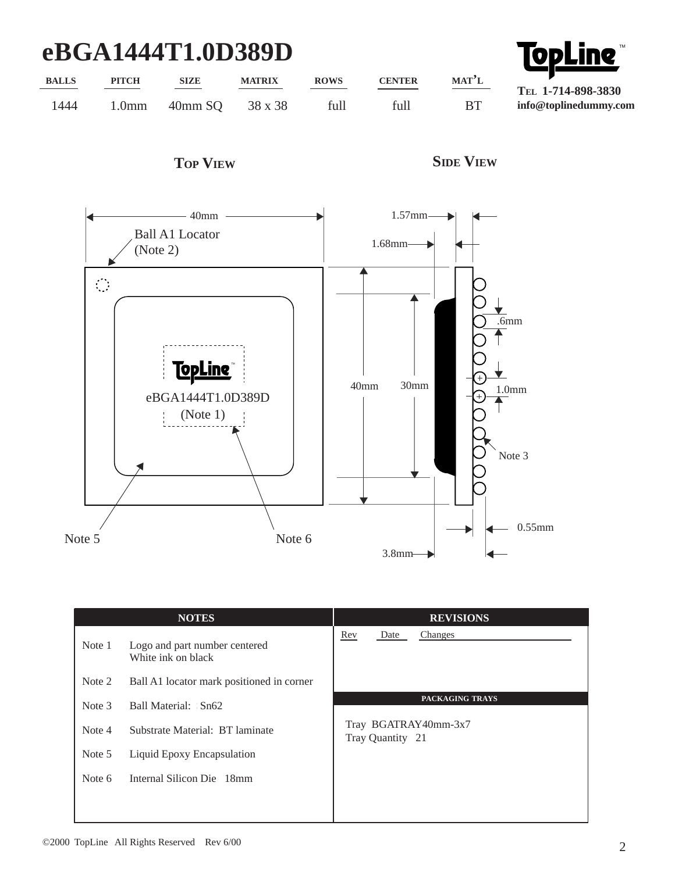## **eBGA1444T1.0D389D**

| eBGA1444T1.0D389D |                   |             |               |             |               | <b>TopLine</b>     |                       |
|-------------------|-------------------|-------------|---------------|-------------|---------------|--------------------|-----------------------|
| <b>BALLS</b>      | <b>PITCH</b>      | <b>SIZE</b> | <b>MATRIX</b> | <b>ROWS</b> | <b>CENTER</b> | MAT <sup>2</sup> L | TEL 1-714-898-3830    |
| 1444              | 1.0 <sub>mm</sub> | 40mm SO     | 38 x 38       | full        | full          | <b>BT</b>          | info@toplinedummy.com |





|        | <b>NOTES</b>                                        | <b>REVISIONS</b>                         |  |  |  |
|--------|-----------------------------------------------------|------------------------------------------|--|--|--|
| Note 1 | Logo and part number centered<br>White ink on black | Rev<br>Date<br>Changes                   |  |  |  |
| Note 2 | Ball A1 locator mark positioned in corner           |                                          |  |  |  |
| Note 3 | Ball Material: Sn62                                 | PACKAGING TRAYS                          |  |  |  |
| Note 4 | Substrate Material: BT laminate                     | Tray BGATRAY40mm-3x7<br>Tray Quantity 21 |  |  |  |
| Note 5 | Liquid Epoxy Encapsulation                          |                                          |  |  |  |
| Note 6 | Internal Silicon Die 18mm                           |                                          |  |  |  |
|        |                                                     |                                          |  |  |  |